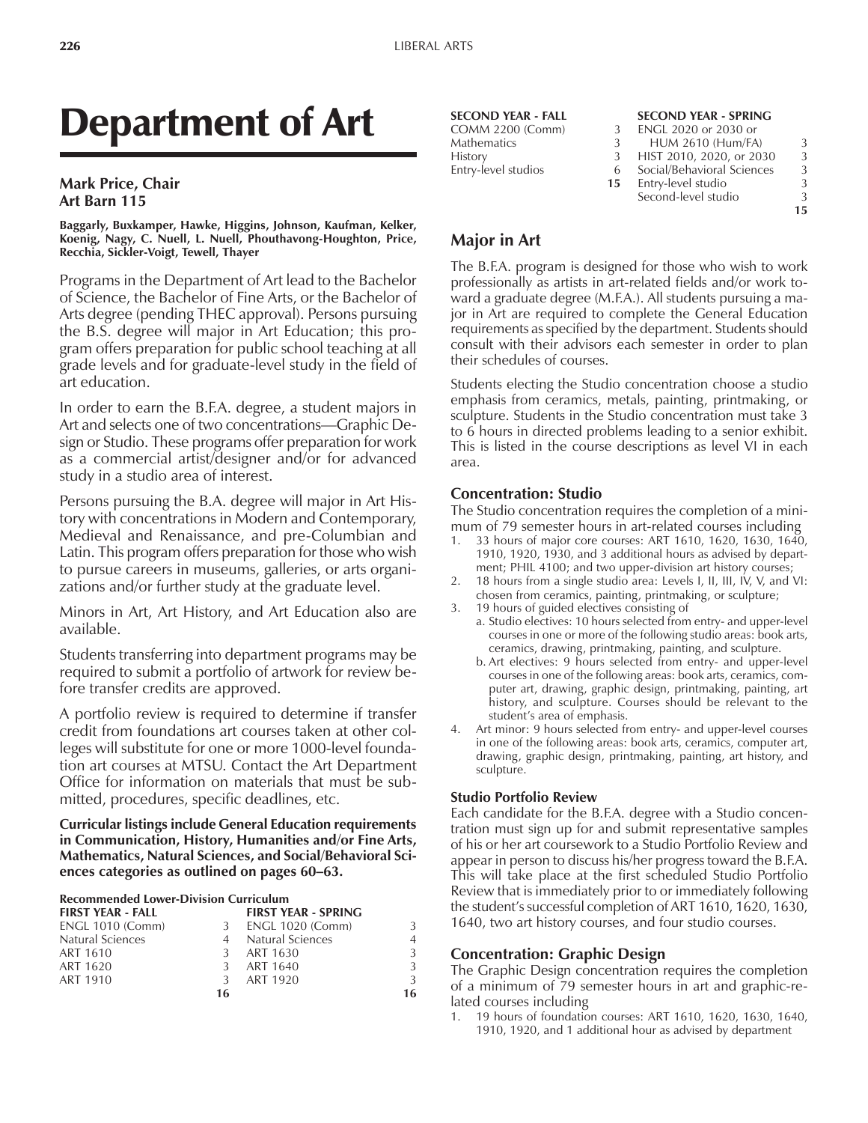# Department of Art

## **Mark Price, Chair Art Barn 115**

**Baggarly, Buxkamper, Hawke, Higgins, Johnson, Kaufman, Kelker, Koenig, Nagy, C. Nuell, L. Nuell, Phouthavong-Houghton, Price, Recchia, Sickler-Voigt, Tewell, Thayer**

Programs in the Department of Art lead to the Bachelor of Science, the Bachelor of Fine Arts, or the Bachelor of Arts degree (pending THEC approval). Persons pursuing the B.S. degree will major in Art Education; this program offers preparation for public school teaching at all grade levels and for graduate-level study in the field of art education.

In order to earn the B.F.A. degree, a student majors in Art and selects one of two concentrations—Graphic Design or Studio. These programs offer preparation for work as a commercial artist/designer and/or for advanced study in a studio area of interest.

Persons pursuing the B.A. degree will major in Art History with concentrations in Modern and Contemporary, Medieval and Renaissance, and pre-Columbian and Latin. This program offers preparation for those who wish to pursue careers in museums, galleries, or arts organizations and/or further study at the graduate level.

Minors in Art, Art History, and Art Education also are available.

Students transferring into department programs may be required to submit a portfolio of artwork for review before transfer credits are approved.

A portfolio review is required to determine if transfer credit from foundations art courses taken at other colleges will substitute for one or more 1000-level foundation art courses at MTSU. Contact the Art Department Office for information on materials that must be submitted, procedures, specific deadlines, etc.

**Curricular listings include General Education requirements in Communication, History, Humanities and/or Fine Arts, Mathematics, Natural Sciences, and Social/Behavioral Sci**ences categories as outlined on pages 60–63.

#### **Recommended Lower-Division Curriculum**

| <b>FIRST YEAR - FALL</b> |    | <b>FIRST YEAR - SPRING</b> |                |
|--------------------------|----|----------------------------|----------------|
| <b>ENGL 1010 (Comm)</b>  | 3  | ENGL 1020 (Comm)           | 3              |
| <b>Natural Sciences</b>  |    | <b>Natural Sciences</b>    | $\overline{4}$ |
| ART 1610                 | 3  | ART 1630                   | 3              |
| ART 1620                 | 3  | ART 1640                   | 3              |
| ART 1910                 | 3  | ART 1920                   | 3              |
|                          | 16 |                            | 16             |

## **SECOND YEAR - FALL SECOND YEAR - SPRING**

#### COMM 2200 (Comm) 3 ENGL 2020 or 2030 or<br>Mathematics 3 HUM 2610 (Hum/FA HUM 2610 (Hum/FA) 3 History 3 HIST 2010, 2020, or 2030 3<br>
Entry-level studios 6 Social/Behavioral Sciences 3 Entry-level studios 6 Social/Behavioral Sciences 3 **15** Entry-level studio Second-level studio 3

# **15**

## **Major in Art**

The B.F.A. program is designed for those who wish to work professionally as artists in art-related fields and/or work toward a graduate degree (M.F.A.). All students pursuing a major in Art are required to complete the General Education requirements as specified by the department. Students should consult with their advisors each semester in order to plan their schedules of courses.

Students electing the Studio concentration choose a studio emphasis from ceramics, metals, painting, printmaking, or sculpture. Students in the Studio concentration must take 3 to 6 hours in directed problems leading to a senior exhibit. This is listed in the course descriptions as level VI in each area.

## **Concentration: Studio**

The Studio concentration requires the completion of a minimum of 79 semester hours in art-related courses including

- 1. 33 hours of major core courses: ART 1610, 1620, 1630, 1640, 1910, 1920, 1930, and 3 additional hours as advised by department; PHIL 4100; and two upper-division art history courses;
- 2. 18 hours from a single studio area: Levels I, II, III, IV, V, and VI: chosen from ceramics, painting, printmaking, or sculpture;
- 3. 19 hours of guided electives consisting of
	- a. Studio electives: 10 hours selected from entry- and upper-level courses in one or more of the following studio areas: book arts, ceramics, drawing, printmaking, painting, and sculpture.
		- b. Art electives: 9 hours selected from entry- and upper-level courses in one of the following areas: book arts, ceramics, computer art, drawing, graphic design, printmaking, painting, art history, and sculpture. Courses should be relevant to the student's area of emphasis.
- Art minor: 9 hours selected from entry- and upper-level courses in one of the following areas: book arts, ceramics, computer art, drawing, graphic design, printmaking, painting, art history, and sculpture.

## **Studio Portfolio Review**

Each candidate for the B.F.A. degree with a Studio concentration must sign up for and submit representative samples of his or her art coursework to a Studio Portfolio Review and appear in person to discuss his/her progress toward the B.F.A. This will take place at the first scheduled Studio Portfolio Review that is immediately prior to or immediately following the student's successful completion of ART 1610, 1620, 1630, 1640, two art history courses, and four studio courses.

## **Concentration: Graphic Design**

The Graphic Design concentration requires the completion of a minimum of 79 semester hours in art and graphic-related courses including

19 hours of foundation courses: ART 1610, 1620, 1630, 1640, 1910, 1920, and 1 additional hour as advised by department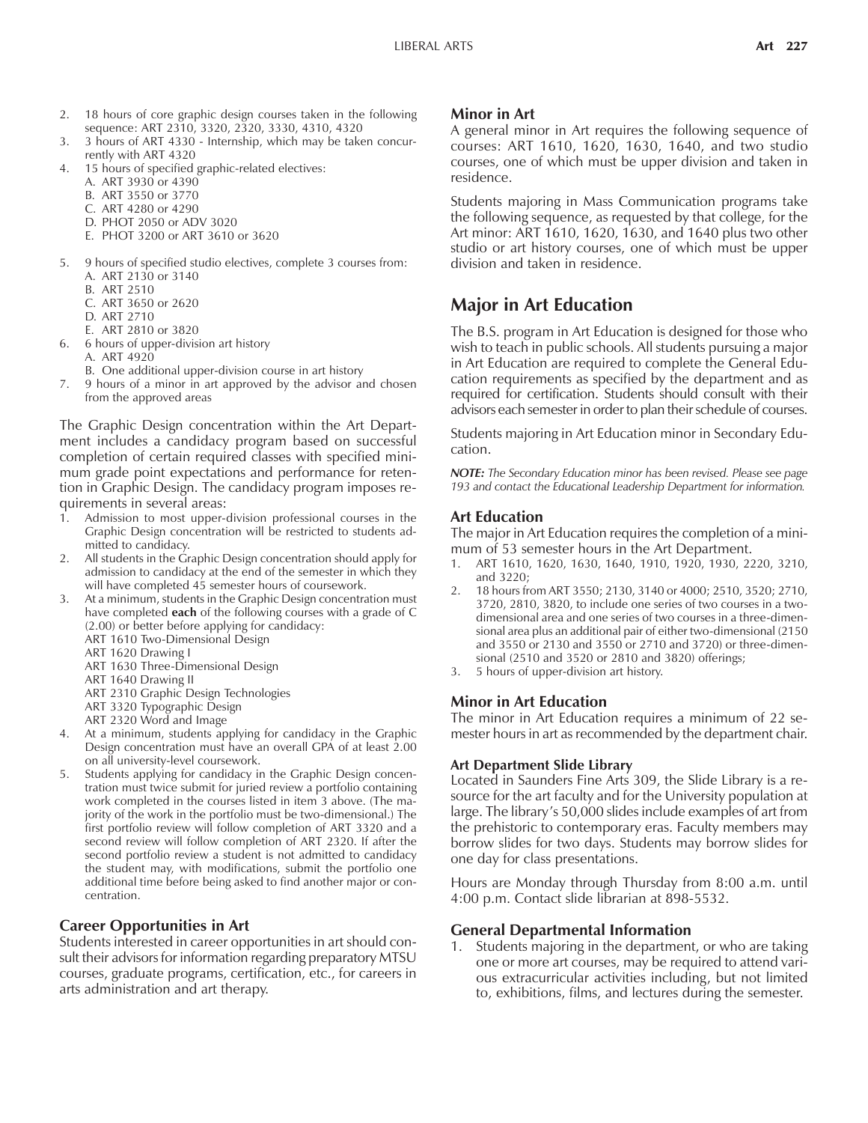- 2. 18 hours of core graphic design courses taken in the following sequence: ART 2310, 3320, 2320, 3330, 4310, 4320
- 3. 3 hours of ART 4330 Internship, which may be taken concurrently with ART 4320
- 4. 15 hours of specified graphic-related electives:
	- A. ART 3930 or 4390
	- B. ART 3550 or 3770
	- C. ART 4280 or 4290
	- D. PHOT 2050 or ADV 3020
	- E. PHOT 3200 or ART 3610 or 3620
- 5. 9 hours of specified studio electives, complete 3 courses from: A. ART 2130 or 3140
	- B. ART 2510
	- C. ART 3650 or 2620
	- D. ART 2710
	- E. ART 2810 or 3820
	- 6. 6 hours of upper-division art history
	- A. ART 4920
	- B. One additional upper-division course in art history
- 7. 9 hours of a minor in art approved by the advisor and chosen from the approved areas

The Graphic Design concentration within the Art Department includes a candidacy program based on successful completion of certain required classes with specified minimum grade point expectations and performance for retention in Graphic Design. The candidacy program imposes requirements in several areas:

- 1. Admission to most upper-division professional courses in the Graphic Design concentration will be restricted to students admitted to candidacy.
- 2. All students in the Graphic Design concentration should apply for admission to candidacy at the end of the semester in which they will have completed 45 semester hours of coursework.
- 3. At a minimum, students in the Graphic Design concentration must have completed **each** of the following courses with a grade of C (2.00) or better before applying for candidacy: ART 1610 Two-Dimensional Design
	- ART 1620 Drawing I
	- ART 1630 Three-Dimensional Design
	- ART 1640 Drawing II
	- ART 2310 Graphic Design Technologies
	- ART 3320 Typographic Design
	- ART 2320 Word and Image
- 4. At a minimum, students applying for candidacy in the Graphic Design concentration must have an overall GPA of at least 2.00 on all university-level coursework.
- Students applying for candidacy in the Graphic Design concentration must twice submit for juried review a portfolio containing work completed in the courses listed in item 3 above. (The majority of the work in the portfolio must be two-dimensional.) The first portfolio review will follow completion of ART 3320 and a second review will follow completion of ART 2320. If after the second portfolio review a student is not admitted to candidacy the student may, with modifications, submit the portfolio one additional time before being asked to find another major or concentration.

## **Career Opportunities in Art**

Students interested in career opportunities in art should consult their advisors for information regarding preparatory MTSU courses, graduate programs, certification, etc., for careers in arts administration and art therapy.

## **Minor in Art**

A general minor in Art requires the following sequence of courses: ART 1610, 1620, 1630, 1640, and two studio courses, one of which must be upper division and taken in residence.

Students majoring in Mass Communication programs take the following sequence, as requested by that college, for the Art minor: ART 1610, 1620, 1630, and 1640 plus two other studio or art history courses, one of which must be upper division and taken in residence.

## **Major in Art Education**

The B.S. program in Art Education is designed for those who wish to teach in public schools. All students pursuing a major in Art Education are required to complete the General Education requirements as specified by the department and as required for certification. Students should consult with their advisors each semester in order to plan their schedule of courses.

Students majoring in Art Education minor in Secondary Education.

*NOTE: The Secondary Education minor has been revised. Please see page 193 and contact the Educational Leadership Department for information.*

## **Art Education**

The major in Art Education requires the completion of a minimum of 53 semester hours in the Art Department.

- 1. ART 1610, 1620, 1630, 1640, 1910, 1920, 1930, 2220, 3210, and 3220;
- 2. 18 hours from ART 3550; 2130, 3140 or 4000; 2510, 3520; 2710, 3720, 2810, 3820, to include one series of two courses in a twodimensional area and one series of two courses in a three-dimensional area plus an additional pair of either two-dimensional (2150 and 3550 or 2130 and 3550 or 2710 and 3720) or three-dimensional (2510 and 3520 or 2810 and 3820) offerings;
- 3. 5 hours of upper-division art history.

## **Minor in Art Education**

The minor in Art Education requires a minimum of 22 semester hours in art as recommended by the department chair.

#### **Art Department Slide Library**

Located in Saunders Fine Arts 309, the Slide Library is a resource for the art faculty and for the University population at large. The library's 50,000 slides include examples of art from the prehistoric to contemporary eras. Faculty members may borrow slides for two days. Students may borrow slides for one day for class presentations.

Hours are Monday through Thursday from 8:00 a.m. until 4:00 p.m. Contact slide librarian at 898-5532.

## **General Departmental Information**

1. Students majoring in the department, or who are taking one or more art courses, may be required to attend various extracurricular activities including, but not limited to, exhibitions, films, and lectures during the semester.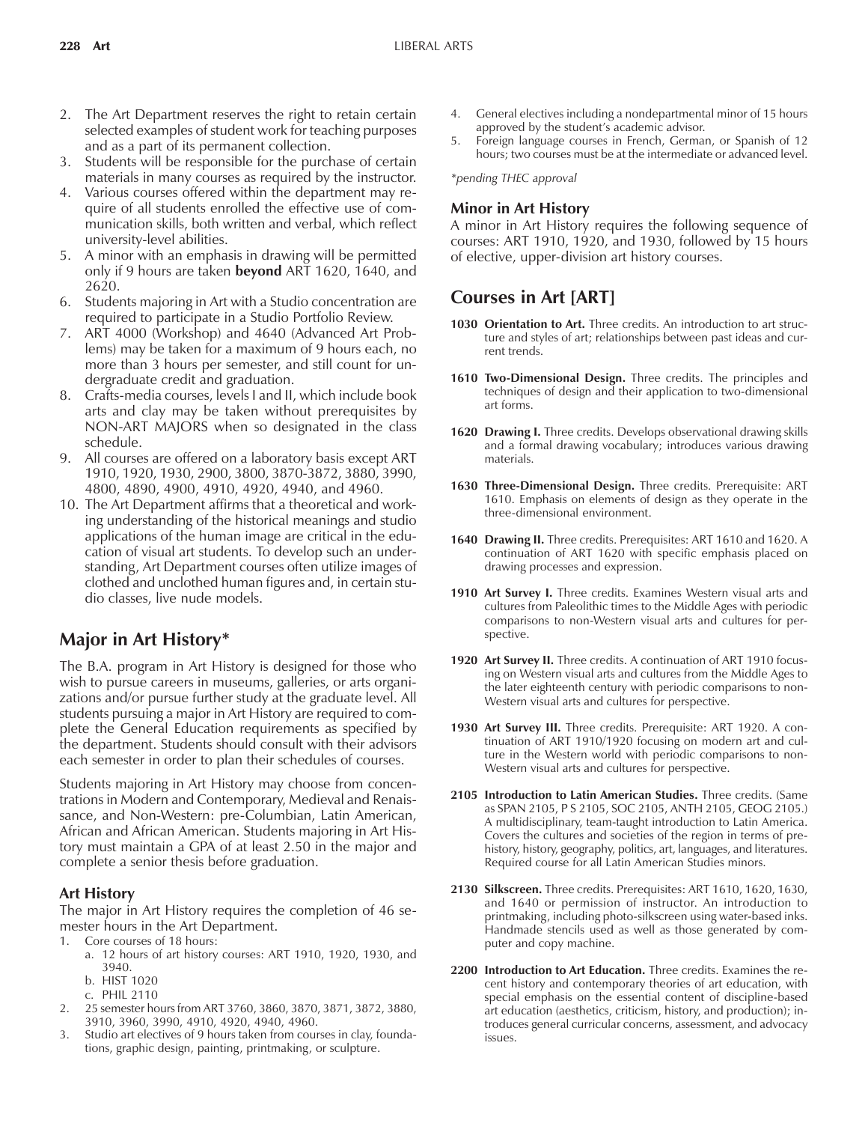- 2. The Art Department reserves the right to retain certain selected examples of student work for teaching purposes and as a part of its permanent collection.
- 3. Students will be responsible for the purchase of certain materials in many courses as required by the instructor.
- 4. Various courses offered within the department may require of all students enrolled the effective use of communication skills, both written and verbal, which reflect university-level abilities.
- 5. A minor with an emphasis in drawing will be permitted only if 9 hours are taken **beyond** ART 1620, 1640, and 2620.
- 6. Students majoring in Art with a Studio concentration are required to participate in a Studio Portfolio Review.
- 7. ART 4000 (Workshop) and 4640 (Advanced Art Problems) may be taken for a maximum of 9 hours each, no more than 3 hours per semester, and still count for undergraduate credit and graduation.
- 8. Crafts-media courses, levels I and II, which include book arts and clay may be taken without prerequisites by NON-ART MAJORS when so designated in the class schedule.
- 9. All courses are offered on a laboratory basis except ART 1910, 1920, 1930, 2900, 3800, 3870-3872, 3880, 3990, 4800, 4890, 4900, 4910, 4920, 4940, and 4960.
- 10. The Art Department affirms that a theoretical and working understanding of the historical meanings and studio applications of the human image are critical in the education of visual art students. To develop such an understanding, Art Department courses often utilize images of clothed and unclothed human figures and, in certain studio classes, live nude models.

## **Major in Art History\***

The B.A. program in Art History is designed for those who wish to pursue careers in museums, galleries, or arts organizations and/or pursue further study at the graduate level. All students pursuing a major in Art History are required to complete the General Education requirements as specified by the department. Students should consult with their advisors each semester in order to plan their schedules of courses.

Students majoring in Art History may choose from concentrations in Modern and Contemporary, Medieval and Renaissance, and Non-Western: pre-Columbian, Latin American, African and African American. Students majoring in Art History must maintain a GPA of at least 2.50 in the major and complete a senior thesis before graduation.

## **Art History**

The major in Art History requires the completion of 46 semester hours in the Art Department.

- 1. Core courses of 18 hours:
	- a. 12 hours of art history courses: ART 1910, 1920, 1930, and 3940.
	- b. HIST 1020
	- c. PHIL 2110
- 2. 25 semester hours from ART 3760, 3860, 3870, 3871, 3872, 3880, 3910, 3960, 3990, 4910, 4920, 4940, 4960.
- 3. Studio art electives of 9 hours taken from courses in clay, foundations, graphic design, painting, printmaking, or sculpture.
- 4. General electives including a nondepartmental minor of 15 hours approved by the student's academic advisor.
- 5. Foreign language courses in French, German, or Spanish of 12 hours; two courses must be at the intermediate or advanced level.

*\*pending THEC approval*

#### **Minor in Art History**

A minor in Art History requires the following sequence of courses: ART 1910, 1920, and 1930, followed by 15 hours of elective, upper-division art history courses.

## **Courses in Art [ART]**

- **1030 Orientation to Art.** Three credits. An introduction to art structure and styles of art; relationships between past ideas and current trends.
- **1610 Two-Dimensional Design.** Three credits. The principles and techniques of design and their application to two-dimensional art forms.
- 1620 Drawing I. Three credits. Develops observational drawing skills and a formal drawing vocabulary; introduces various drawing materials.
- **1630 Three-Dimensional Design.** Three credits. Prerequisite: ART 1610. Emphasis on elements of design as they operate in the three-dimensional environment.
- **1640 Drawing II.** Three credits. Prerequisites: ART 1610 and 1620. A continuation of ART 1620 with specific emphasis placed on drawing processes and expression.
- 1910 Art Survey I. Three credits. Examines Western visual arts and cultures from Paleolithic times to the Middle Ages with periodic comparisons to non-Western visual arts and cultures for perspective.
- **1920 Art Survey II.** Three credits. A continuation of ART 1910 focusing on Western visual arts and cultures from the Middle Ages to the later eighteenth century with periodic comparisons to non-Western visual arts and cultures for perspective.
- **1930 Art Survey III.** Three credits. Prerequisite: ART 1920. A continuation of ART 1910/1920 focusing on modern art and culture in the Western world with periodic comparisons to non-Western visual arts and cultures for perspective.
- **2105 Introduction to Latin American Studies.** Three credits. (Same as SPAN 2105, P S 2105, SOC 2105, ANTH 2105, GEOG 2105.) A multidisciplinary, team-taught introduction to Latin America. Covers the cultures and societies of the region in terms of prehistory, history, geography, politics, art, languages, and literatures. Required course for all Latin American Studies minors.
- **2130 Silkscreen.** Three credits. Prerequisites: ART 1610, 1620, 1630, and 1640 or permission of instructor. An introduction to printmaking, including photo-silkscreen using water-based inks. Handmade stencils used as well as those generated by computer and copy machine.
- **2200 Introduction to Art Education.** Three credits. Examines the recent history and contemporary theories of art education, with special emphasis on the essential content of discipline-based art education (aesthetics, criticism, history, and production); introduces general curricular concerns, assessment, and advocacy issues.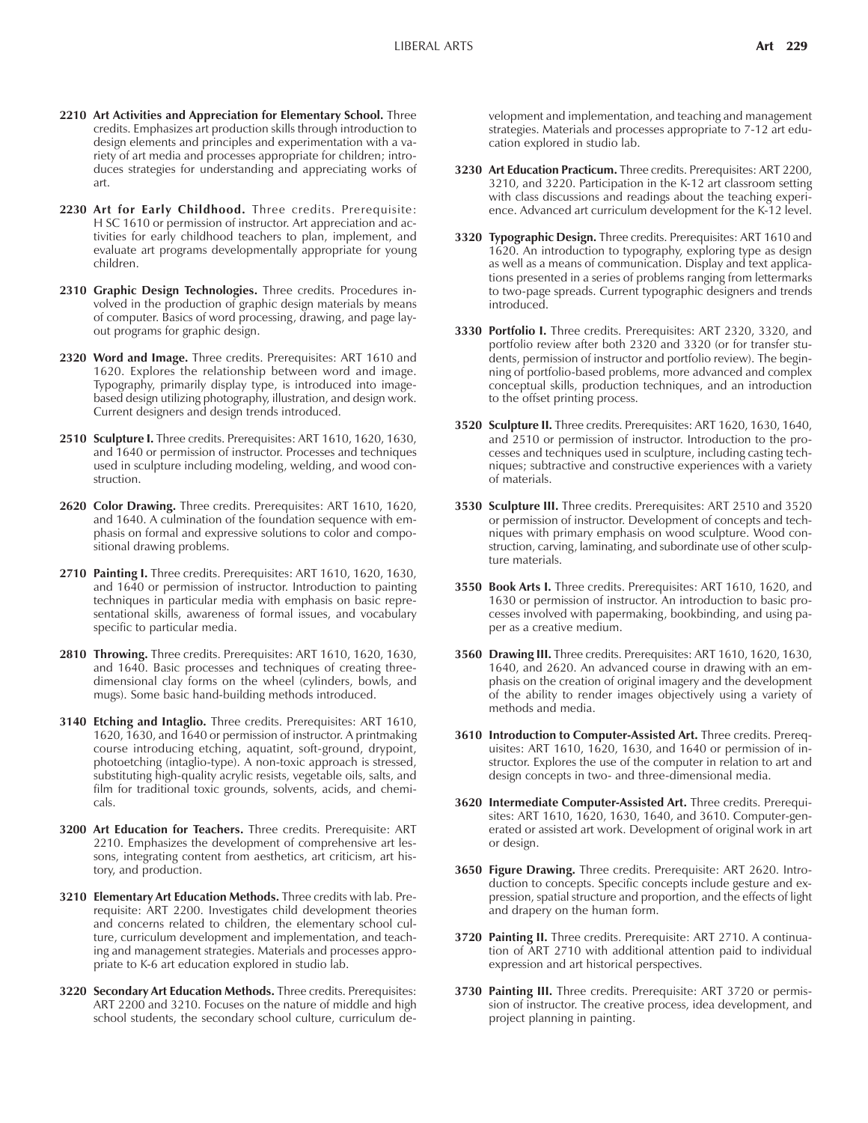- **2210 Art Activities and Appreciation for Elementary School.** Three credits. Emphasizes art production skills through introduction to design elements and principles and experimentation with a variety of art media and processes appropriate for children; introduces strategies for understanding and appreciating works of art.
- **2230 Art for Early Childhood.** Three credits. Prerequisite: H SC 1610 or permission of instructor. Art appreciation and activities for early childhood teachers to plan, implement, and evaluate art programs developmentally appropriate for young children.
- **2310 Graphic Design Technologies.** Three credits. Procedures involved in the production of graphic design materials by means of computer. Basics of word processing, drawing, and page layout programs for graphic design.
- **2320 Word and Image.** Three credits. Prerequisites: ART 1610 and 1620. Explores the relationship between word and image. Typography, primarily display type, is introduced into imagebased design utilizing photography, illustration, and design work. Current designers and design trends introduced.
- **2510 Sculpture I.** Three credits. Prerequisites: ART 1610, 1620, 1630, and 1640 or permission of instructor. Processes and techniques used in sculpture including modeling, welding, and wood construction.
- **2620 Color Drawing.** Three credits. Prerequisites: ART 1610, 1620, and 1640. A culmination of the foundation sequence with emphasis on formal and expressive solutions to color and compositional drawing problems.
- **2710 Painting I.** Three credits. Prerequisites: ART 1610, 1620, 1630, and 1640 or permission of instructor. Introduction to painting techniques in particular media with emphasis on basic representational skills, awareness of formal issues, and vocabulary specific to particular media.
- **2810 Throwing.** Three credits. Prerequisites: ART 1610, 1620, 1630, and 1640. Basic processes and techniques of creating threedimensional clay forms on the wheel (cylinders, bowls, and mugs). Some basic hand-building methods introduced.
- **3140 Etching and Intaglio.** Three credits. Prerequisites: ART 1610, 1620, 1630, and 1640 or permission of instructor. A printmaking course introducing etching, aquatint, soft-ground, drypoint, photoetching (intaglio-type). A non-toxic approach is stressed, substituting high-quality acrylic resists, vegetable oils, salts, and film for traditional toxic grounds, solvents, acids, and chemicals.
- **3200 Art Education for Teachers.** Three credits. Prerequisite: ART 2210. Emphasizes the development of comprehensive art lessons, integrating content from aesthetics, art criticism, art history, and production.
- **3210 Elementary Art Education Methods.** Three credits with lab. Prerequisite: ART 2200. Investigates child development theories and concerns related to children, the elementary school culture, curriculum development and implementation, and teaching and management strategies. Materials and processes appropriate to K-6 art education explored in studio lab.
- **3220 Secondary Art Education Methods.** Three credits. Prerequisites: ART 2200 and 3210. Focuses on the nature of middle and high school students, the secondary school culture, curriculum de-

velopment and implementation, and teaching and management strategies. Materials and processes appropriate to 7-12 art education explored in studio lab.

- **3230 Art Education Practicum.** Three credits. Prerequisites: ART 2200, 3210, and 3220. Participation in the K-12 art classroom setting with class discussions and readings about the teaching experience. Advanced art curriculum development for the K-12 level.
- **3320 Typographic Design.** Three credits. Prerequisites: ART 1610 and 1620. An introduction to typography, exploring type as design as well as a means of communication. Display and text applications presented in a series of problems ranging from lettermarks to two-page spreads. Current typographic designers and trends introduced.
- **3330 Portfolio I.** Three credits. Prerequisites: ART 2320, 3320, and portfolio review after both 2320 and 3320 (or for transfer students, permission of instructor and portfolio review). The beginning of portfolio-based problems, more advanced and complex conceptual skills, production techniques, and an introduction to the offset printing process.
- **3520 Sculpture II.** Three credits. Prerequisites: ART 1620, 1630, 1640, and 2510 or permission of instructor. Introduction to the processes and techniques used in sculpture, including casting techniques; subtractive and constructive experiences with a variety of materials.
- **3530 Sculpture III.** Three credits. Prerequisites: ART 2510 and 3520 or permission of instructor. Development of concepts and techniques with primary emphasis on wood sculpture. Wood construction, carving, laminating, and subordinate use of other sculpture materials.
- **3550 Book Arts I.** Three credits. Prerequisites: ART 1610, 1620, and 1630 or permission of instructor. An introduction to basic processes involved with papermaking, bookbinding, and using paper as a creative medium.
- **3560 Drawing III.** Three credits. Prerequisites: ART 1610, 1620, 1630, 1640, and 2620. An advanced course in drawing with an emphasis on the creation of original imagery and the development of the ability to render images objectively using a variety of methods and media.
- **3610 Introduction to Computer-Assisted Art.** Three credits. Prerequisites: ART 1610, 1620, 1630, and 1640 or permission of instructor. Explores the use of the computer in relation to art and design concepts in two- and three-dimensional media.
- **3620 Intermediate Computer-Assisted Art.** Three credits. Prerequisites: ART 1610, 1620, 1630, 1640, and 3610. Computer-generated or assisted art work. Development of original work in art or design.
- **3650 Figure Drawing.** Three credits. Prerequisite: ART 2620. Introduction to concepts. Specific concepts include gesture and expression, spatial structure and proportion, and the effects of light and drapery on the human form.
- **3720 Painting II.** Three credits. Prerequisite: ART 2710. A continuation of ART 2710 with additional attention paid to individual expression and art historical perspectives.
- **3730 Painting III.** Three credits. Prerequisite: ART 3720 or permission of instructor. The creative process, idea development, and project planning in painting.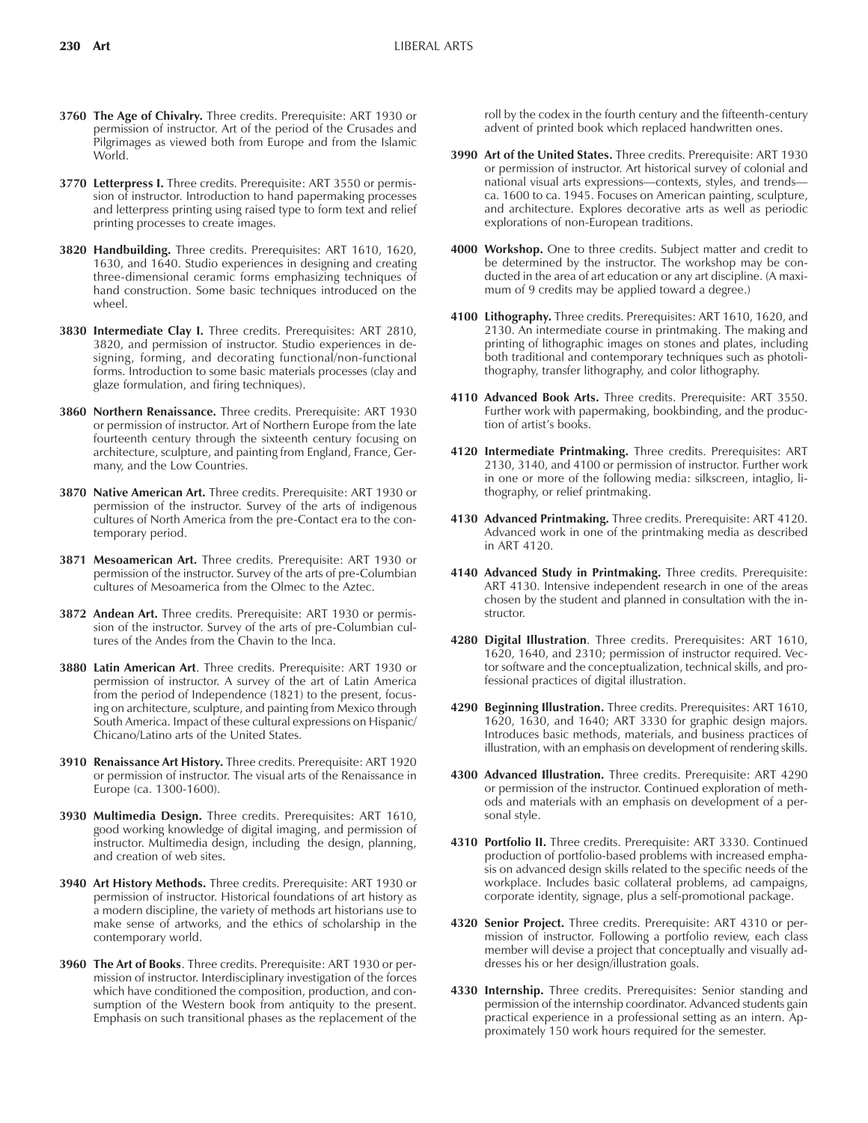- **3760 The Age of Chivalry.** Three credits. Prerequisite: ART 1930 or permission of instructor. Art of the period of the Crusades and Pilgrimages as viewed both from Europe and from the Islamic World.
- **3770 Letterpress I.** Three credits. Prerequisite: ART 3550 or permission of instructor. Introduction to hand papermaking processes and letterpress printing using raised type to form text and relief printing processes to create images.
- **3820 Handbuilding.** Three credits. Prerequisites: ART 1610, 1620, 1630, and 1640. Studio experiences in designing and creating three-dimensional ceramic forms emphasizing techniques of hand construction. Some basic techniques introduced on the wheel.
- **3830 Intermediate Clay I.** Three credits. Prerequisites: ART 2810, 3820, and permission of instructor. Studio experiences in designing, forming, and decorating functional/non-functional forms. Introduction to some basic materials processes (clay and glaze formulation, and firing techniques).
- **3860 Northern Renaissance.** Three credits. Prerequisite: ART 1930 or permission of instructor. Art of Northern Europe from the late fourteenth century through the sixteenth century focusing on architecture, sculpture, and painting from England, France, Germany, and the Low Countries.
- **3870 Native American Art.** Three credits. Prerequisite: ART 1930 or permission of the instructor. Survey of the arts of indigenous cultures of North America from the pre-Contact era to the contemporary period.
- **3871 Mesoamerican Art.** Three credits. Prerequisite: ART 1930 or permission of the instructor. Survey of the arts of pre-Columbian cultures of Mesoamerica from the Olmec to the Aztec.
- **3872 Andean Art.** Three credits. Prerequisite: ART 1930 or permission of the instructor. Survey of the arts of pre-Columbian cultures of the Andes from the Chavin to the Inca.
- **3880 Latin American Art**. Three credits. Prerequisite: ART 1930 or permission of instructor. A survey of the art of Latin America from the period of Independence (1821) to the present, focusing on architecture, sculpture, and painting from Mexico through South America. Impact of these cultural expressions on Hispanic/ Chicano/Latino arts of the United States.
- **3910 Renaissance Art History.** Three credits. Prerequisite: ART 1920 or permission of instructor. The visual arts of the Renaissance in Europe (ca. 1300-1600).
- **3930 Multimedia Design.** Three credits. Prerequisites: ART 1610, good working knowledge of digital imaging, and permission of instructor. Multimedia design, including the design, planning, and creation of web sites.
- **3940 Art History Methods.** Three credits. Prerequisite: ART 1930 or permission of instructor. Historical foundations of art history as a modern discipline, the variety of methods art historians use to make sense of artworks, and the ethics of scholarship in the contemporary world.
- **3960 The Art of Books**. Three credits. Prerequisite: ART 1930 or permission of instructor. Interdisciplinary investigation of the forces which have conditioned the composition, production, and consumption of the Western book from antiquity to the present. Emphasis on such transitional phases as the replacement of the

roll by the codex in the fourth century and the fifteenth-century advent of printed book which replaced handwritten ones.

- **3990 Art of the United States.** Three credits. Prerequisite: ART 1930 or permission of instructor. Art historical survey of colonial and national visual arts expressions—contexts, styles, and trends ca. 1600 to ca. 1945. Focuses on American painting, sculpture, and architecture. Explores decorative arts as well as periodic explorations of non-European traditions.
- **4000 Workshop.** One to three credits. Subject matter and credit to be determined by the instructor. The workshop may be conducted in the area of art education or any art discipline. (A maximum of 9 credits may be applied toward a degree.)
- **4100 Lithography.** Three credits. Prerequisites: ART 1610, 1620, and 2130. An intermediate course in printmaking. The making and printing of lithographic images on stones and plates, including both traditional and contemporary techniques such as photolithography, transfer lithography, and color lithography.
- **4110 Advanced Book Arts.** Three credits. Prerequisite: ART 3550. Further work with papermaking, bookbinding, and the production of artist's books.
- **4120 Intermediate Printmaking.** Three credits. Prerequisites: ART 2130, 3140, and 4100 or permission of instructor. Further work in one or more of the following media: silkscreen, intaglio, lithography, or relief printmaking.
- **4130 Advanced Printmaking.** Three credits. Prerequisite: ART 4120. Advanced work in one of the printmaking media as described in ART 4120.
- **4140 Advanced Study in Printmaking.** Three credits. Prerequisite: ART 4130. Intensive independent research in one of the areas chosen by the student and planned in consultation with the instructor.
- **4280 Digital Illustration**. Three credits. Prerequisites: ART 1610, 1620, 1640, and 2310; permission of instructor required. Vector software and the conceptualization, technical skills, and professional practices of digital illustration.
- **4290 Beginning Illustration.** Three credits. Prerequisites: ART 1610, 1620, 1630, and 1640; ART 3330 for graphic design majors. Introduces basic methods, materials, and business practices of illustration, with an emphasis on development of rendering skills.
- **4300 Advanced Illustration.** Three credits. Prerequisite: ART 4290 or permission of the instructor. Continued exploration of methods and materials with an emphasis on development of a personal style.
- **4310 Portfolio II.** Three credits. Prerequisite: ART 3330. Continued production of portfolio-based problems with increased emphasis on advanced design skills related to the specific needs of the workplace. Includes basic collateral problems, ad campaigns, corporate identity, signage, plus a self-promotional package.
- **4320 Senior Project.** Three credits. Prerequisite: ART 4310 or permission of instructor. Following a portfolio review, each class member will devise a project that conceptually and visually addresses his or her design/illustration goals.
- **4330 Internship.** Three credits. Prerequisites: Senior standing and permission of the internship coordinator. Advanced students gain practical experience in a professional setting as an intern. Approximately 150 work hours required for the semester.